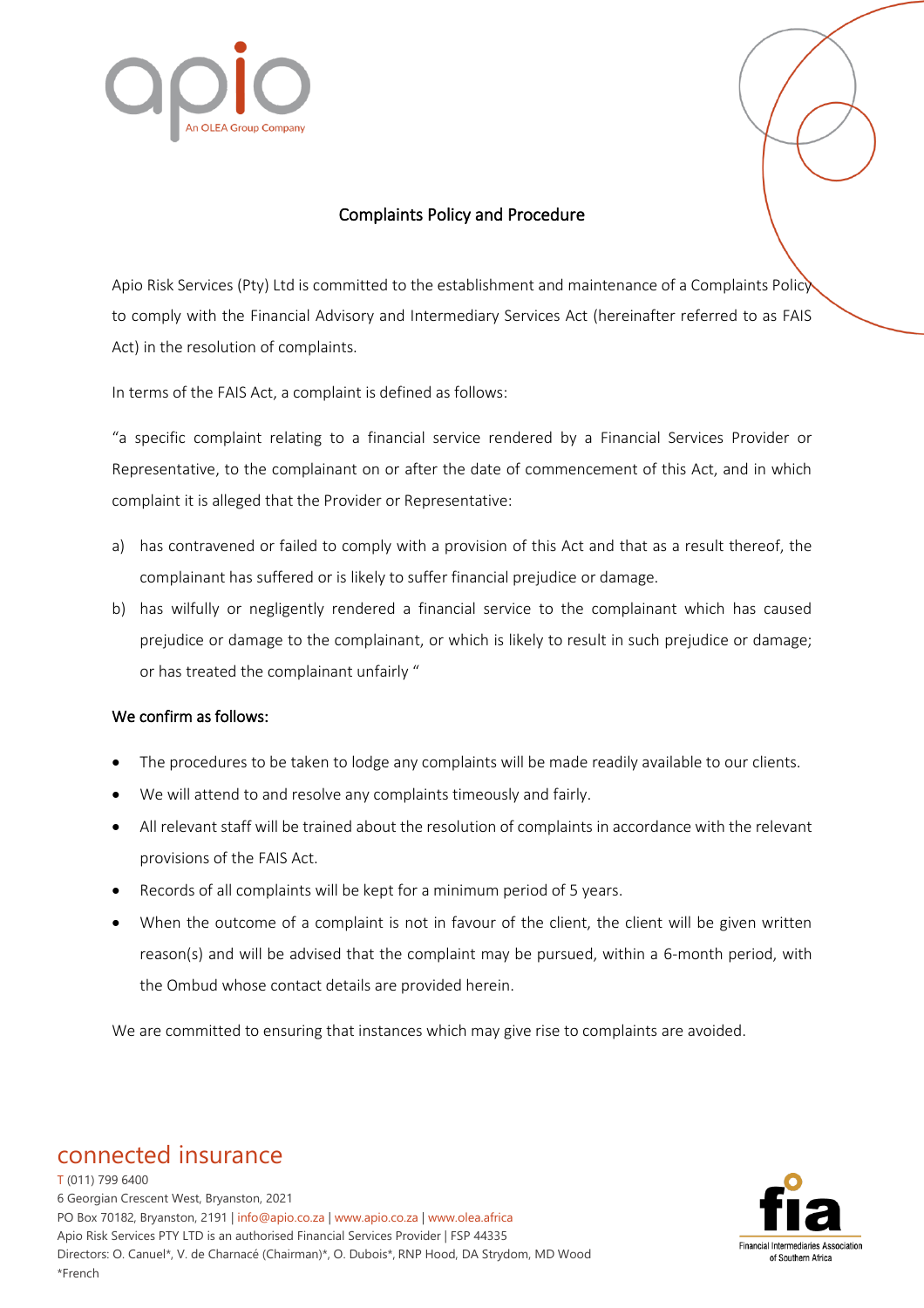

## Complaints Policy and Procedure

Apio Risk Services (Pty) Ltd is committed to the establishment and maintenance of a Complaints Policy to comply with the Financial Advisory and Intermediary Services Act (hereinafter referred to as FAIS Act) in the resolution of complaints.

In terms of the FAIS Act, a complaint is defined as follows:

"a specific complaint relating to a financial service rendered by a Financial Services Provider or Representative, to the complainant on or after the date of commencement of this Act, and in which complaint it is alleged that the Provider or Representative:

- a) has contravened or failed to comply with a provision of this Act and that as a result thereof, the complainant has suffered or is likely to suffer financial prejudice or damage.
- b) has wilfully or negligently rendered a financial service to the complainant which has caused prejudice or damage to the complainant, or which is likely to result in such prejudice or damage; or has treated the complainant unfairly "

## We confirm as follows:

- The procedures to be taken to lodge any complaints will be made readily available to our clients.
- We will attend to and resolve any complaints timeously and fairly.
- All relevant staff will be trained about the resolution of complaints in accordance with the relevant provisions of the FAIS Act.
- Records of all complaints will be kept for a minimum period of 5 years.
- When the outcome of a complaint is not in favour of the client, the client will be given written reason(s) and will be advised that the complaint may be pursued, within a 6-month period, with the Ombud whose contact details are provided herein.

We are committed to ensuring that instances which may give rise to complaints are avoided.

## connected insurance

T (011) 799 6400 6 Georgian Crescent West, Bryanston, 2021 PO Box 70182, Bryanston, 2191 | info@apio.co.za | [www.apio.co.za](http://www.apio.co.za/) | www.olea.africa Apio Risk Services PTY LTD is an authorised Financial Services Provider | FSP 44335 Directors: O. Canuel\*, V. de Charnacé (Chairman)\*, O. Dubois\*, RNP Hood, DA Strydom, MD Wood \*French

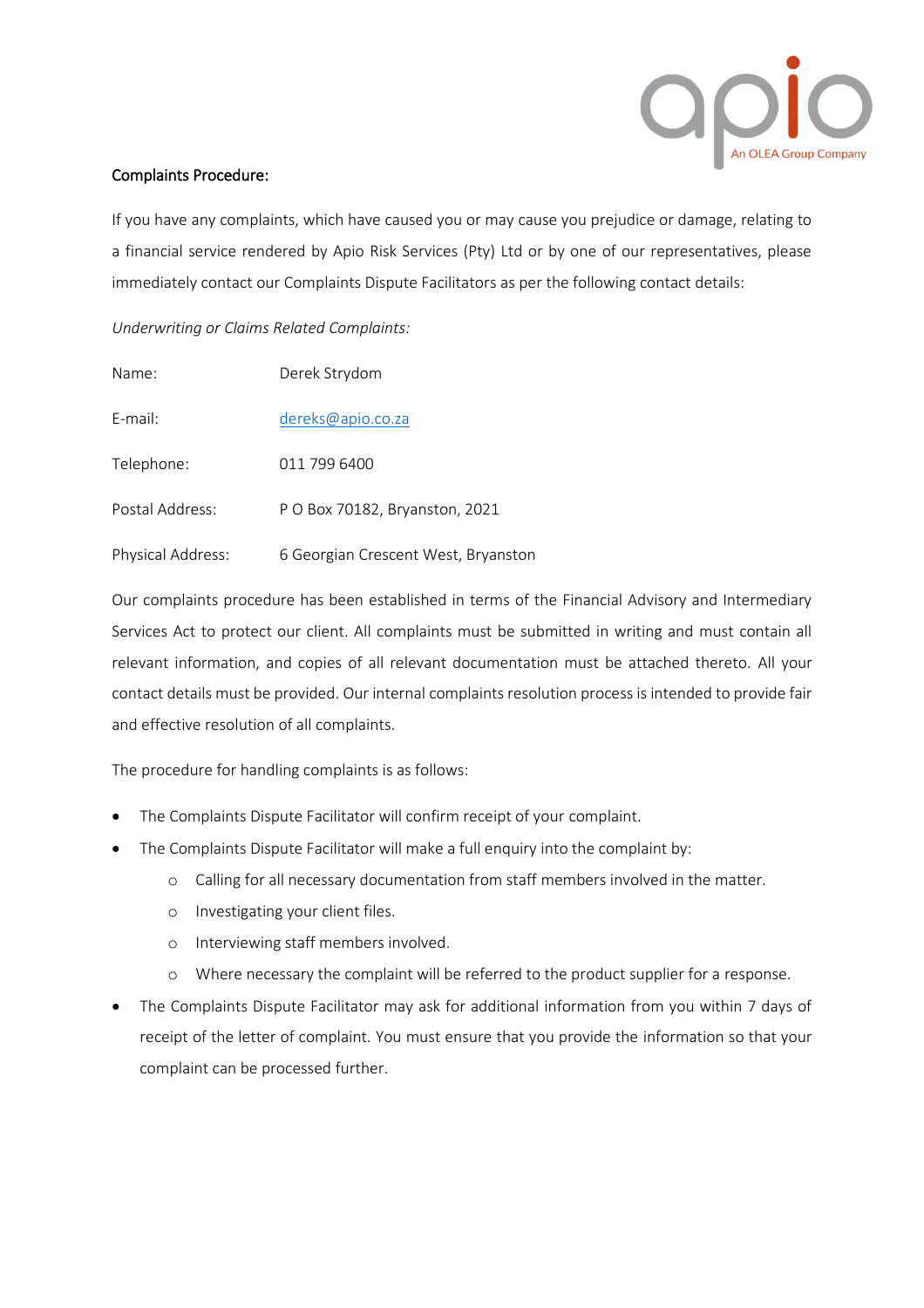

## Complaints Procedure:

If you have any complaints, which have caused you or may cause you prejudice or damage, relating to a financial service rendered by Apio Risk Services (Pty) Ltd or by one of our representatives, please immediately contact our Complaints Dispute Facilitators as per the following contact details:

*Underwriting or Claims Related Complaints:* 

| Name:             | Derek Strydom                       |
|-------------------|-------------------------------------|
| E-mail:           | dereks@apio.co.za                   |
| Telephone:        | 011 799 6400                        |
| Postal Address:   | P O Box 70182, Bryanston, 2021      |
| Physical Address: | 6 Georgian Crescent West, Bryanston |

Our complaints procedure has been established in terms of the Financial Advisory and Intermediary Services Act to protect our client. All complaints must be submitted in writing and must contain all relevant information, and copies of all relevant documentation must be attached thereto. All your contact details must be provided. Our internal complaints resolution process is intended to provide fair and effective resolution of all complaints.

The procedure for handling complaints is as follows:

- The Complaints Dispute Facilitator will confirm receipt of your complaint.
- The Complaints Dispute Facilitator will make a full enquiry into the complaint by:
	- o Calling for all necessary documentation from staff members involved in the matter.
	- o Investigating your client files.
	- o Interviewing staff members involved.
	- o Where necessary the complaint will be referred to the product supplier for a response.
- The Complaints Dispute Facilitator may ask for additional information from you within 7 days of receipt of the letter of complaint. You must ensure that you provide the information so that your complaint can be processed further.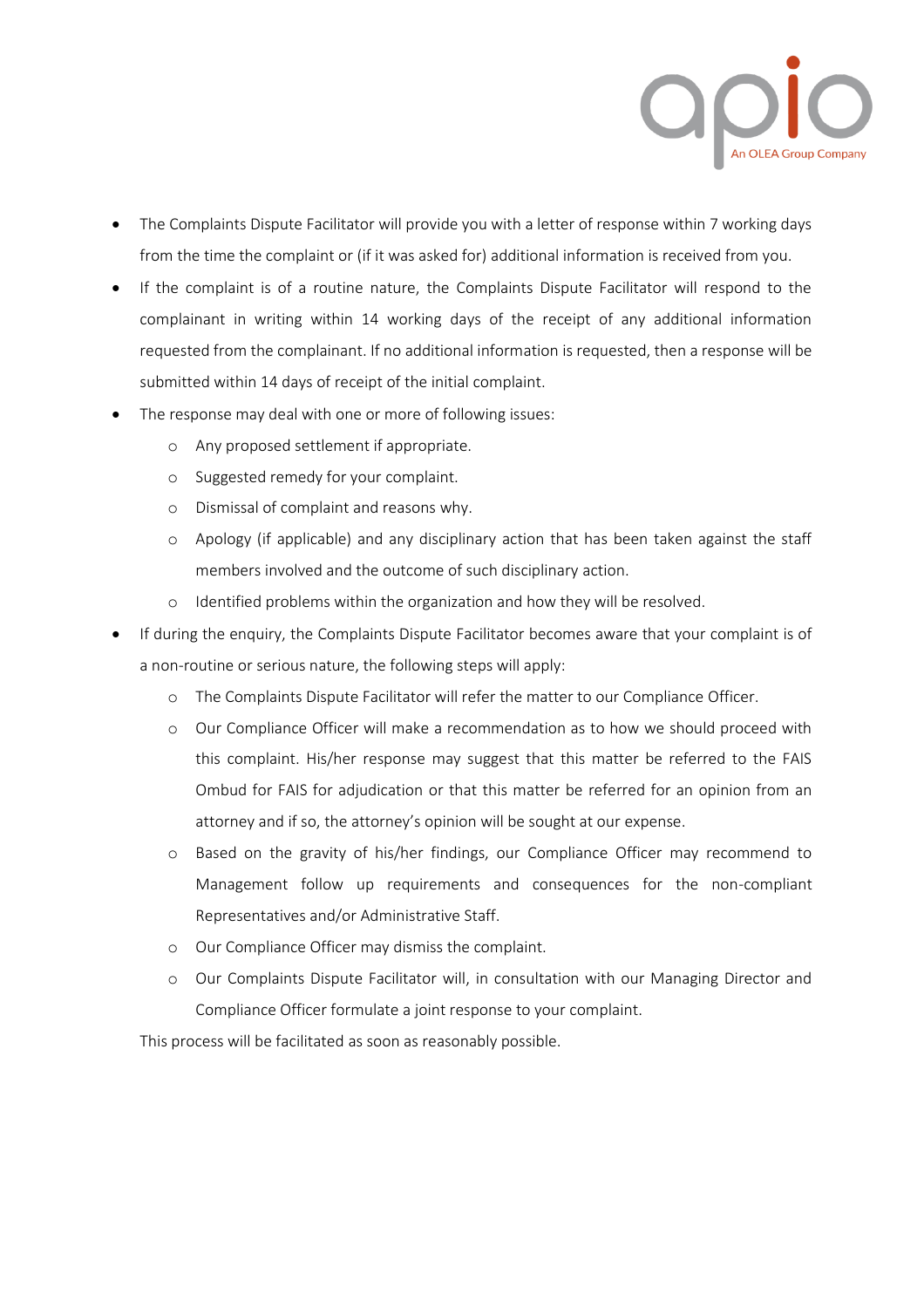

- The Complaints Dispute Facilitator will provide you with a letter of response within 7 working days from the time the complaint or (if it was asked for) additional information is received from you.
- If the complaint is of a routine nature, the Complaints Dispute Facilitator will respond to the complainant in writing within 14 working days of the receipt of any additional information requested from the complainant. If no additional information is requested, then a response will be submitted within 14 days of receipt of the initial complaint.
- The response may deal with one or more of following issues:
	- o Any proposed settlement if appropriate.
	- o Suggested remedy for your complaint.
	- o Dismissal of complaint and reasons why.
	- o Apology (if applicable) and any disciplinary action that has been taken against the staff members involved and the outcome of such disciplinary action.
	- o Identified problems within the organization and how they will be resolved.
- If during the enquiry, the Complaints Dispute Facilitator becomes aware that your complaint is of a non-routine or serious nature, the following steps will apply:
	- o The Complaints Dispute Facilitator will refer the matter to our Compliance Officer.
	- o Our Compliance Officer will make a recommendation as to how we should proceed with this complaint. His/her response may suggest that this matter be referred to the FAIS Ombud for FAIS for adjudication or that this matter be referred for an opinion from an attorney and if so, the attorney's opinion will be sought at our expense.
	- o Based on the gravity of his/her findings, our Compliance Officer may recommend to Management follow up requirements and consequences for the non-compliant Representatives and/or Administrative Staff.
	- o Our Compliance Officer may dismiss the complaint.
	- o Our Complaints Dispute Facilitator will, in consultation with our Managing Director and Compliance Officer formulate a joint response to your complaint.

This process will be facilitated as soon as reasonably possible.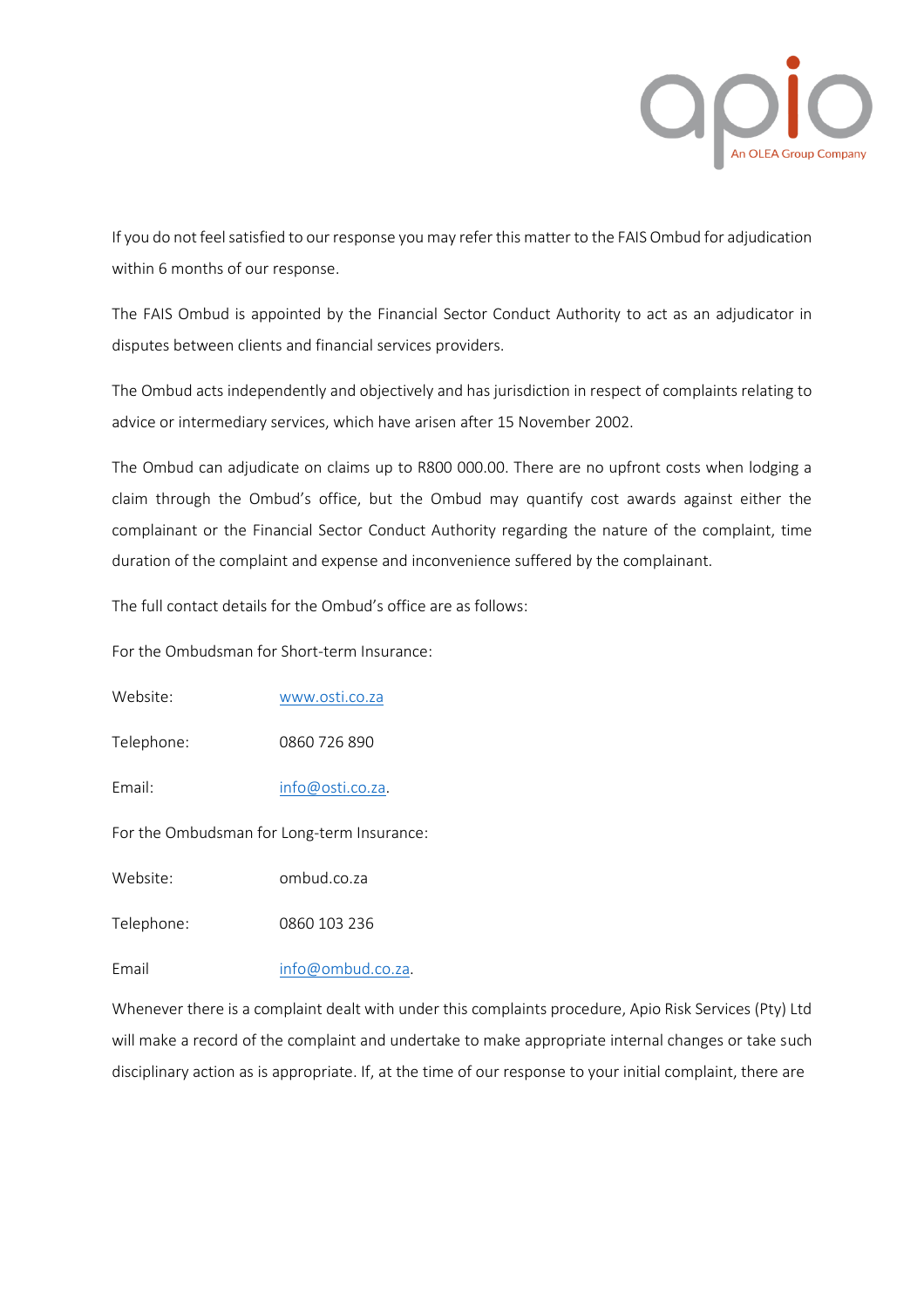

If you do not feel satisfied to our response you may refer this matter to the FAIS Ombud for adjudication within 6 months of our response.

The FAIS Ombud is appointed by the Financial Sector Conduct Authority to act as an adjudicator in disputes between clients and financial services providers.

The Ombud acts independently and objectively and has jurisdiction in respect of complaints relating to advice or intermediary services, which have arisen after 15 November 2002.

The Ombud can adjudicate on claims up to R800 000.00. There are no upfront costs when lodging a claim through the Ombud's office, but the Ombud may quantify cost awards against either the complainant or the Financial Sector Conduct Authority regarding the nature of the complaint, time duration of the complaint and expense and inconvenience suffered by the complainant.

The full contact details for the Ombud's office are as follows:

For the Ombudsman for Short-term Insurance:

Website: [www.osti.co.za](http://www.osti.co.za/)

Telephone: 0860 726 890

Email: [info@osti.co.za.](mailto:info@osti.co.za)

For the Ombudsman for Long-term Insurance:

Website: ombud.co.za

Telephone: 0860 103 236

Email [info@ombud.co.za.](mailto:info@ombud.co.za)

Whenever there is a complaint dealt with under this complaints procedure, Apio Risk Services (Pty) Ltd will make a record of the complaint and undertake to make appropriate internal changes or take such disciplinary action as is appropriate. If, at the time of our response to your initial complaint, there are